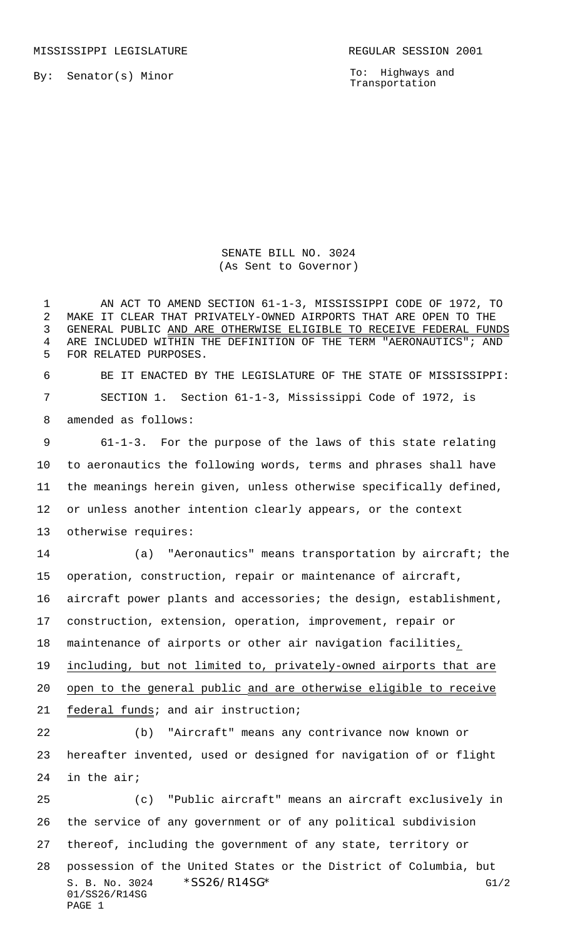MISSISSIPPI LEGISLATURE **REGULAR SESSION 2001** 

By: Senator(s) Minor

To: Highways and Transportation

SENATE BILL NO. 3024 (As Sent to Governor)

S. B. No. 3024 \* SS26/R14SG\* G1/2 01/SS26/R14SG 1 AN ACT TO AMEND SECTION 61-1-3, MISSISSIPPI CODE OF 1972, TO MAKE IT CLEAR THAT PRIVATELY-OWNED AIRPORTS THAT ARE OPEN TO THE GENERAL PUBLIC AND ARE OTHERWISE ELIGIBLE TO RECEIVE FEDERAL FUNDS ARE INCLUDED WITHIN THE DEFINITION OF THE TERM "AERONAUTICS"; AND FOR RELATED PURPOSES. BE IT ENACTED BY THE LEGISLATURE OF THE STATE OF MISSISSIPPI: SECTION 1. Section 61-1-3, Mississippi Code of 1972, is amended as follows: 61-1-3. For the purpose of the laws of this state relating to aeronautics the following words, terms and phrases shall have the meanings herein given, unless otherwise specifically defined, or unless another intention clearly appears, or the context otherwise requires: (a) "Aeronautics" means transportation by aircraft; the operation, construction, repair or maintenance of aircraft, aircraft power plants and accessories; the design, establishment, construction, extension, operation, improvement, repair or maintenance of airports or other air navigation facilities, including, but not limited to, privately-owned airports that are open to the general public and are otherwise eligible to receive federal funds; and air instruction; (b) "Aircraft" means any contrivance now known or hereafter invented, used or designed for navigation of or flight in the air; (c) "Public aircraft" means an aircraft exclusively in the service of any government or of any political subdivision thereof, including the government of any state, territory or possession of the United States or the District of Columbia, but

PAGE 1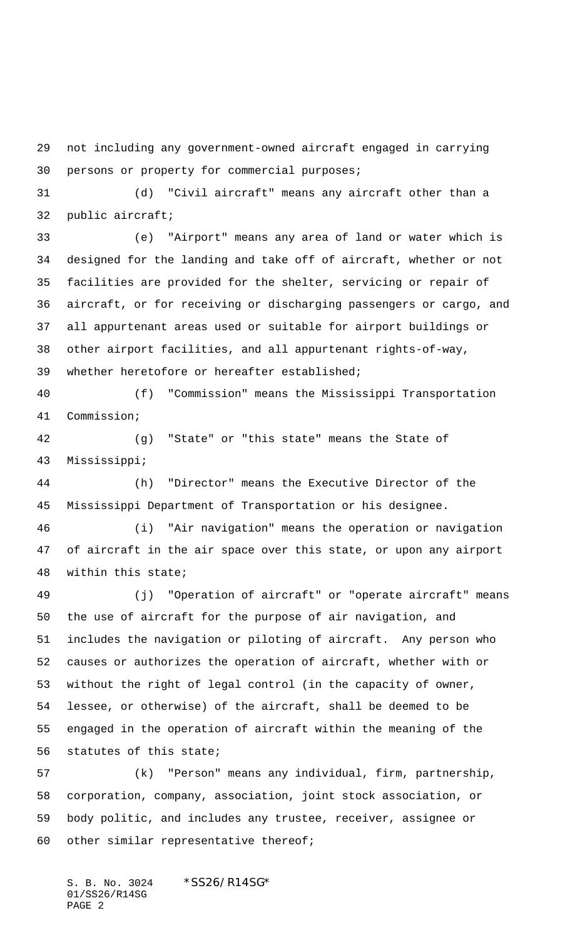not including any government-owned aircraft engaged in carrying persons or property for commercial purposes;

 (d) "Civil aircraft" means any aircraft other than a public aircraft;

 (e) "Airport" means any area of land or water which is designed for the landing and take off of aircraft, whether or not facilities are provided for the shelter, servicing or repair of aircraft, or for receiving or discharging passengers or cargo, and all appurtenant areas used or suitable for airport buildings or other airport facilities, and all appurtenant rights-of-way, whether heretofore or hereafter established;

 (f) "Commission" means the Mississippi Transportation Commission;

 (g) "State" or "this state" means the State of Mississippi;

 (h) "Director" means the Executive Director of the Mississippi Department of Transportation or his designee.

 (i) "Air navigation" means the operation or navigation of aircraft in the air space over this state, or upon any airport within this state;

 (j) "Operation of aircraft" or "operate aircraft" means the use of aircraft for the purpose of air navigation, and includes the navigation or piloting of aircraft. Any person who causes or authorizes the operation of aircraft, whether with or without the right of legal control (in the capacity of owner, lessee, or otherwise) of the aircraft, shall be deemed to be engaged in the operation of aircraft within the meaning of the statutes of this state;

 (k) "Person" means any individual, firm, partnership, corporation, company, association, joint stock association, or body politic, and includes any trustee, receiver, assignee or other similar representative thereof;

S. B. No. 3024 \*SS26/R14SG\* 01/SS26/R14SG PAGE 2